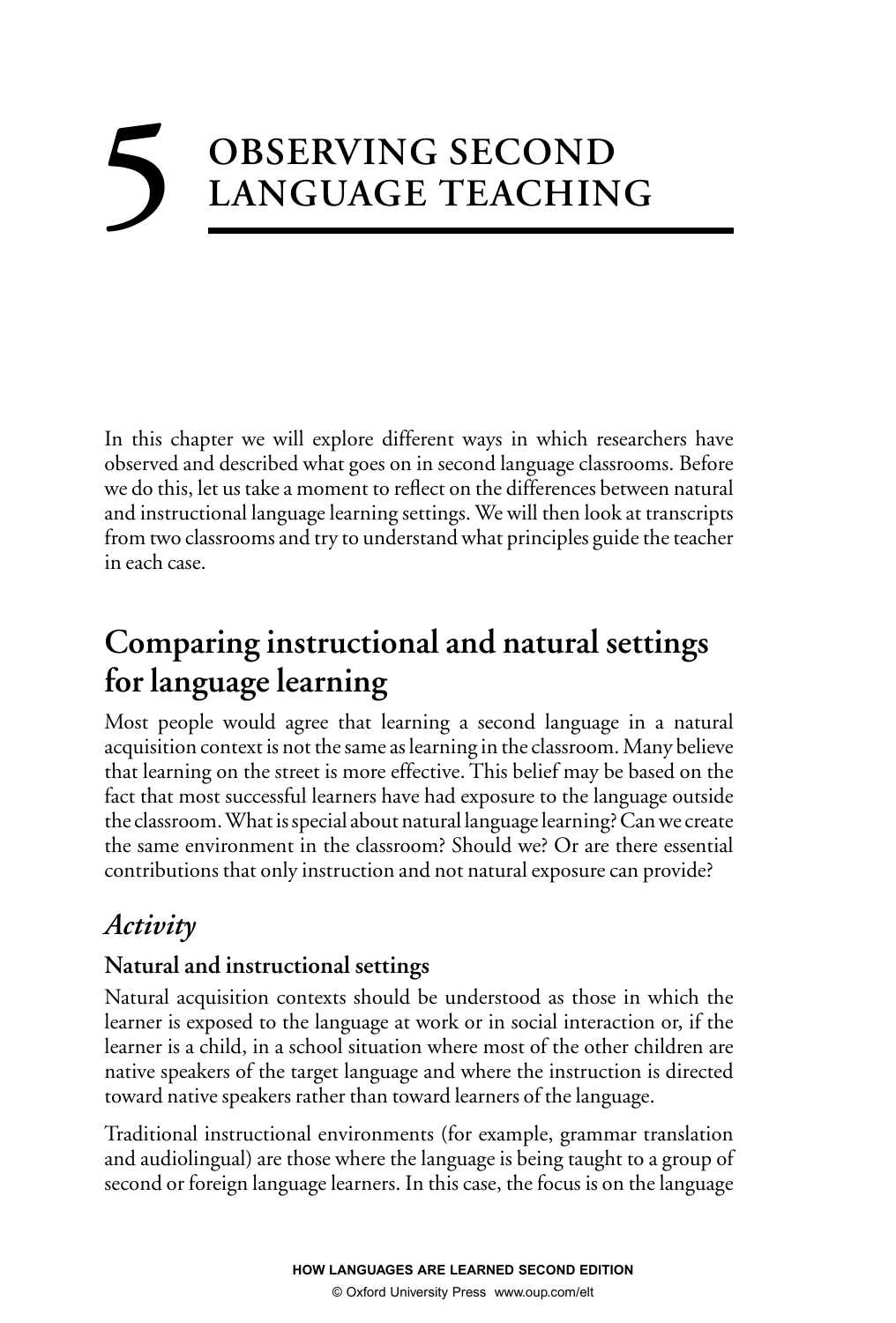# **OBSERVING SECOND LANGUAGE TEACHING 5**

In this chapter we will explore different ways in which researchers have observed and described what goes on in second language classrooms. Before we do this, let us take a moment to reflect on the differences between natural and instructional language learning settings. We will then look at transcripts from two classrooms and try to understand what principles guide the teacher in each case.

# **Comparing instructional and natural settings for language learning**

Most people would agree that learning a second language in a natural acquisition context is not the same as learning in the classroom. Many believe that learning on the street is more effective. This belief may be based on the fact that most successful learners have had exposure to the language outside the classroom. What is special about natural language learning? Can we create the same environment in the classroom? Should we? Or are there essential contributions that only instruction and not natural exposure can provide?

# *Activity*

## **Natural and instructional settings**

Natural acquisition contexts should be understood as those in which the learner is exposed to the language at work or in social interaction or, if the learner is a child, in a school situation where most of the other children are native speakers of the target language and where the instruction is directed toward native speakers rather than toward learners of the language.

Traditional instructional environments (for example, grammar translation and audiolingual) are those where the language is being taught to a group of second or foreign language learners. In this case, the focus is on the language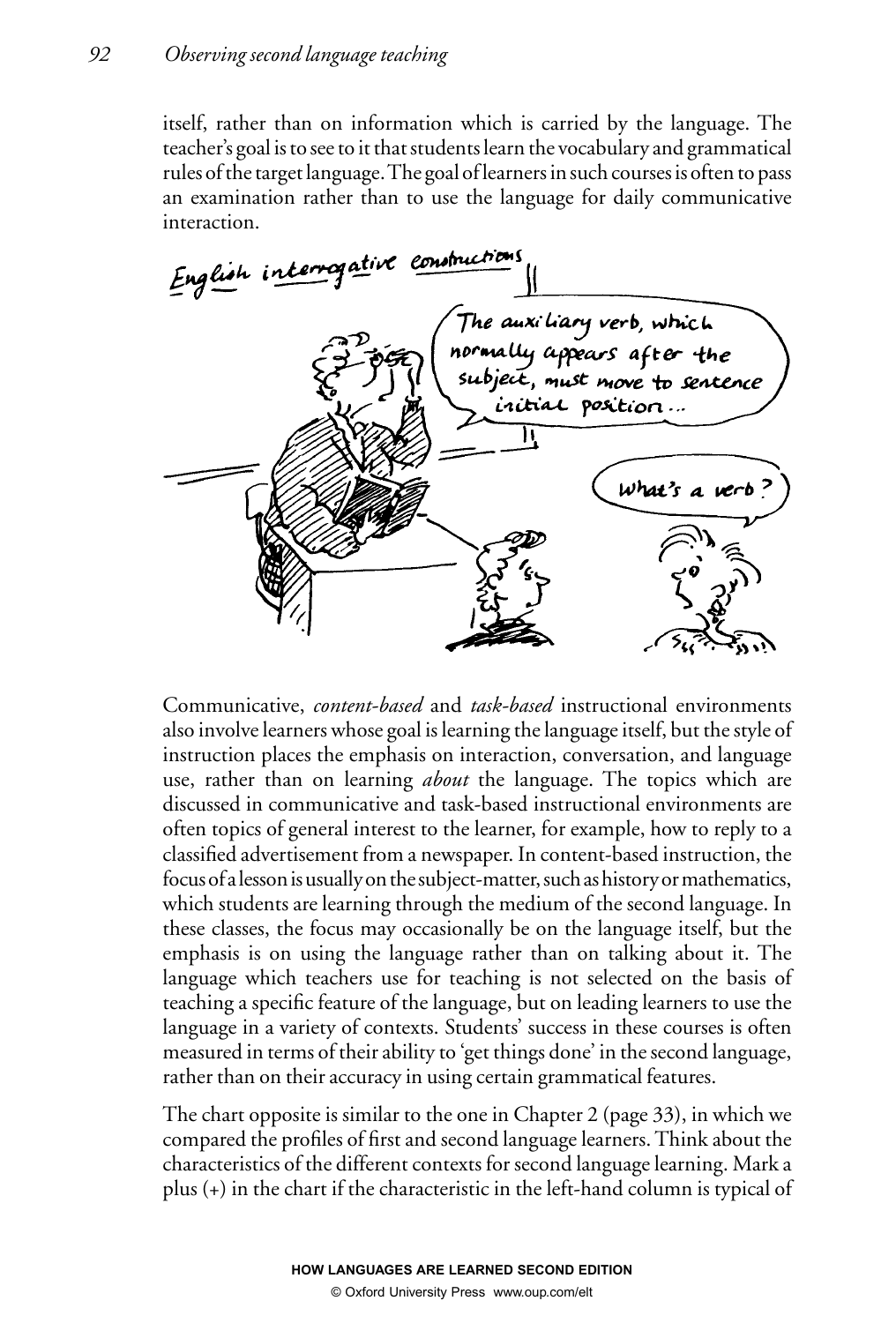itself, rather than on information which is carried by the language. The teacher's goal is to see to it that students learn the vocabulary and grammatical rules of the target language. The goal of learners in such courses is often to pass an examination rather than to use the language for daily communicative interaction.



Communicative, *content-based* and *task-based* instructional environments also involve learners whose goal is learning the language itself, but the style of instruction places the emphasis on interaction, conversation, and language use, rather than on learning *about* the language. The topics which are discussed in communicative and task-based instructional environments are often topics of general interest to the learner, for example, how to reply to a classified advertisement from a newspaper. In content-based instruction, the focus of a lesson is usually on the subject-matter, such as history or mathematics, which students are learning through the medium of the second language. In these classes, the focus may occasionally be on the language itself, but the emphasis is on using the language rather than on talking about it. The language which teachers use for teaching is not selected on the basis of teaching a specific feature of the language, but on leading learners to use the language in a variety of contexts. Students' success in these courses is often measured in terms of their ability to 'get things done' in the second language, rather than on their accuracy in using certain grammatical features.

The chart opposite is similar to the one in Chapter 2 (page 33), in which we compared the profiles of first and second language learners. Think about the characteristics of the different contexts for second language learning. Mark a plus (+) in the chart if the characteristic in the left-hand column is typical of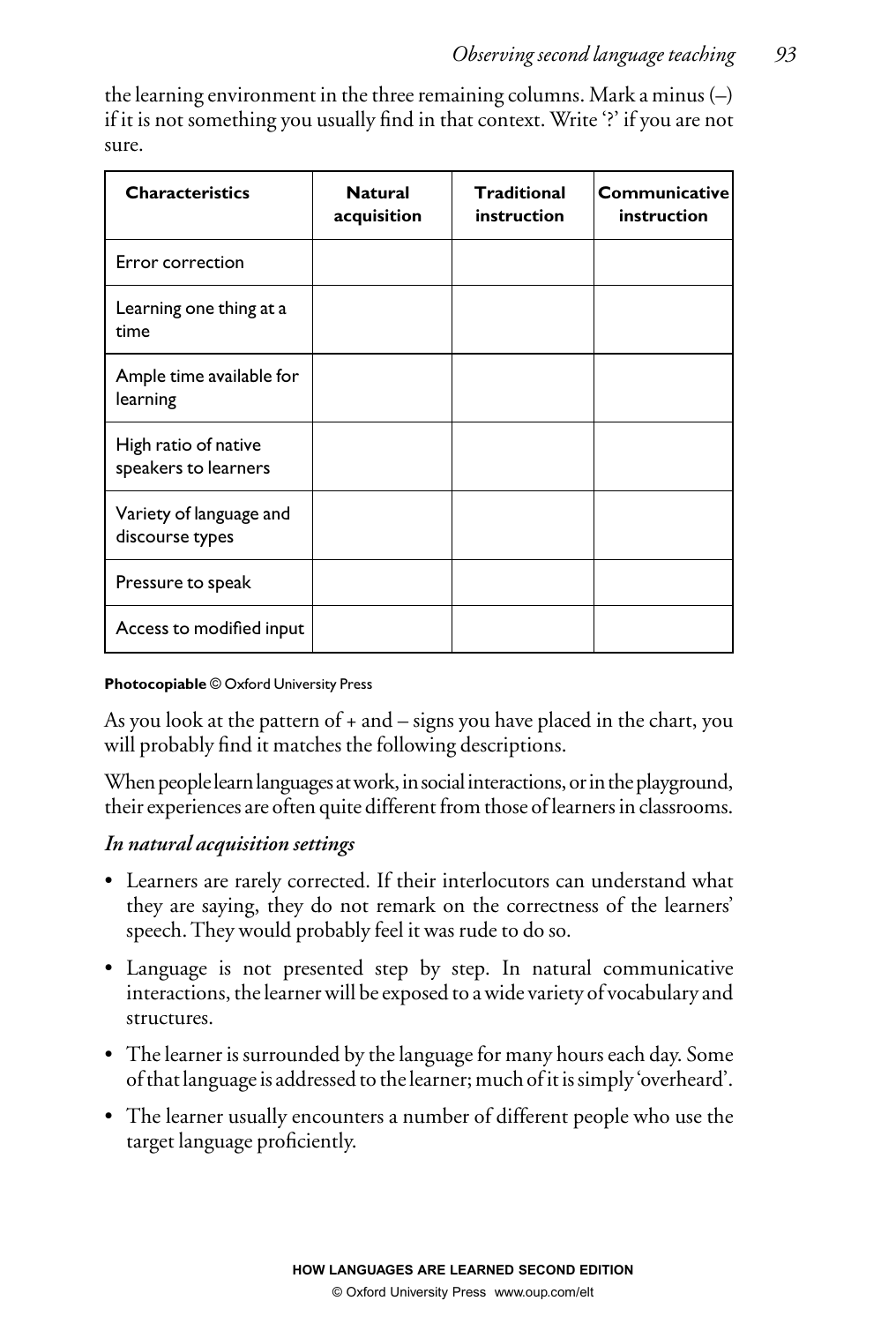the learning environment in the three remaining columns. Mark a minus  $(-)$ if it is not something you usually find in that context. Write '?' if you are not sure.

| <b>Characteristics</b>                       | <b>Natural</b><br>acquisition | <b>Traditional</b><br>instruction | Communicative<br>instruction |
|----------------------------------------------|-------------------------------|-----------------------------------|------------------------------|
| Error correction                             |                               |                                   |                              |
| Learning one thing at a<br>time              |                               |                                   |                              |
| Ample time available for<br>learning         |                               |                                   |                              |
| High ratio of native<br>speakers to learners |                               |                                   |                              |
| Variety of language and<br>discourse types   |                               |                                   |                              |
| Pressure to speak                            |                               |                                   |                              |
| Access to modified input                     |                               |                                   |                              |

#### **Photocopiable** © Oxford University Press

As you look at the pattern of + and – signs you have placed in the chart, you will probably find it matches the following descriptions.

When people learn languages at work, in social interactions, or in the playground, their experiences are often quite different from those of learners in classrooms.

### *In natural acquisition settings*

- Learners are rarely corrected. If their interlocutors can understand what they are saying, they do not remark on the correctness of the learners' speech. They would probably feel it was rude to do so.
- Language is not presented step by step. In natural communicative interactions, the learner will be exposed to a wide variety of vocabulary and structures.
- The learner is surrounded by the language for many hours each day. Some of that language is addressed to the learner; much of it is simply 'overheard'.
- The learner usually encounters a number of different people who use the target language proficiently.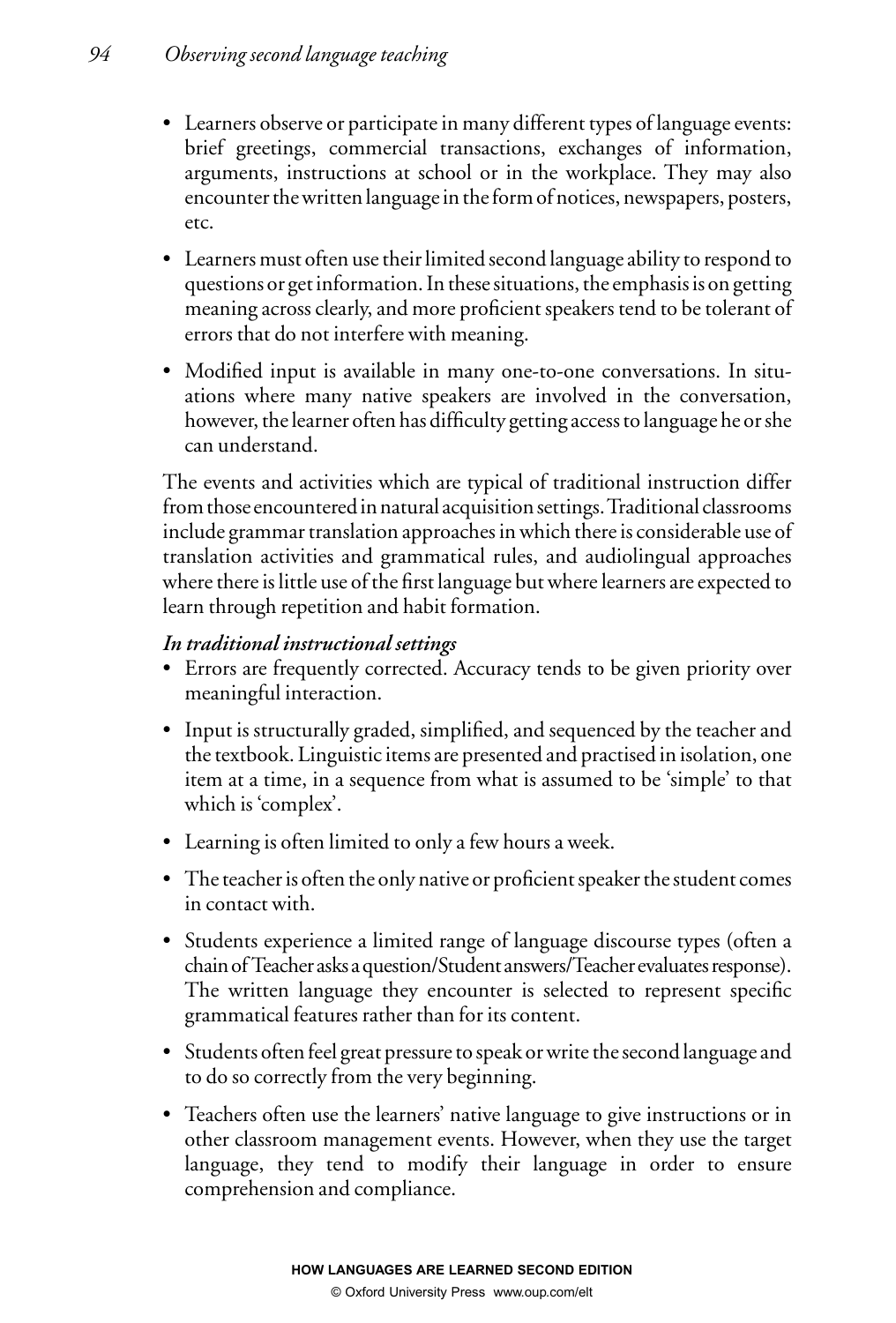- Learners observe or participate in many different types of language events: brief greetings, commercial transactions, exchanges of information, arguments, instructions at school or in the workplace. They may also encounter the written language in the form of notices, newspapers, posters, etc.
- Learners must often use their limited second language ability to respond to questions or get information. In these situations, the emphasis is on getting meaning across clearly, and more proficient speakers tend to be tolerant of errors that do not interfere with meaning.
- Modified input is available in many one-to-one conversations. In situations where many native speakers are involved in the conversation, however, the learner often has difficulty getting access to language he or she can understand.

The events and activities which are typical of traditional instruction differ from those encountered in natural acquisition settings. Traditional classrooms include grammar translation approaches in which there is considerable use of translation activities and grammatical rules, and audiolingual approaches where there is little use of the first language but where learners are expected to learn through repetition and habit formation.

## *In traditional instructional settings*

- Errors are frequently corrected. Accuracy tends to be given priority over meaningful interaction.
- Input is structurally graded, simplified, and sequenced by the teacher and the textbook. Linguistic items are presented and practised in isolation, one item at a time, in a sequence from what is assumed to be 'simple' to that which is 'complex'.
- Learning is often limited to only a few hours a week.
- The teacher is often the only native or proficient speaker the student comes in contact with.
- Students experience a limited range of language discourse types (often a chain of Teacher asks a question/Student answers/Teacher evaluates response). The written language they encounter is selected to represent specific grammatical features rather than for its content.
- Students often feel great pressure to speak or write the second language and to do so correctly from the very beginning.
- Teachers often use the learners' native language to give instructions or in other classroom management events. However, when they use the target language, they tend to modify their language in order to ensure comprehension and compliance.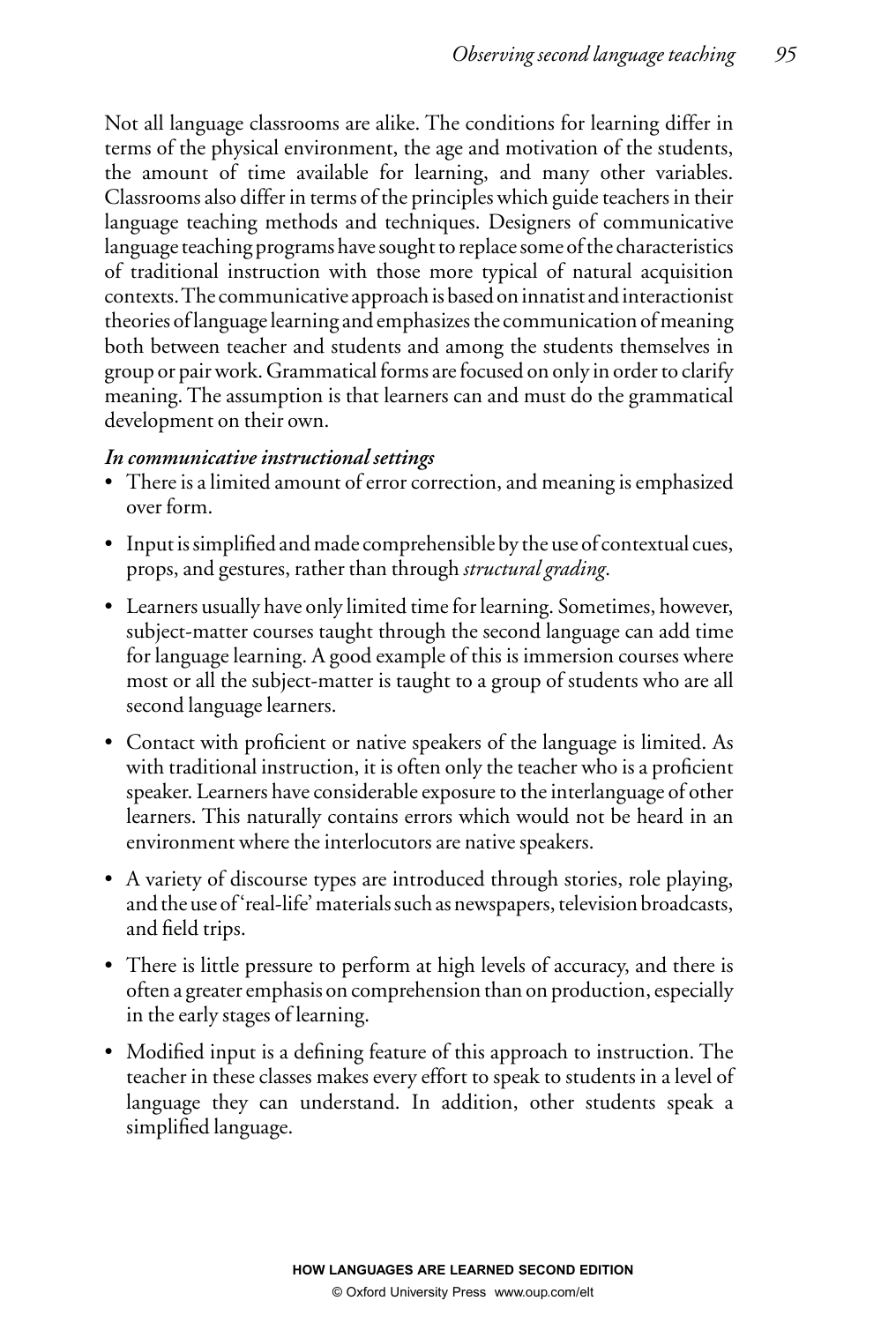Not all language classrooms are alike. The conditions for learning differ in terms of the physical environment, the age and motivation of the students, the amount of time available for learning, and many other variables. Classrooms also differ in terms of the principles which guide teachers in their language teaching methods and techniques. Designers of communicative language teaching programs have sought to replace some of the characteristics of traditional instruction with those more typical of natural acquisition contexts. The communicative approach is based on innatist and interactionist theories of language learning and emphasizes the communication of meaning both between teacher and students and among the students themselves in group or pair work. Grammatical forms are focused on only in order to clarify meaning. The assumption is that learners can and must do the grammatical development on their own.

### *In communicative instructional settings*

- There is a limited amount of error correction, and meaning is emphasized over form.
- Input is simplified and made comprehensible by the use of contextual cues, props, and gestures, rather than through *structural grading*.
- Learners usually have only limited time for learning. Sometimes, however, subject-matter courses taught through the second language can add time for language learning. A good example of this is immersion courses where most or all the subject-matter is taught to a group of students who are all second language learners.
- Contact with proficient or native speakers of the language is limited. As with traditional instruction, it is often only the teacher who is a proficient speaker. Learners have considerable exposure to the interlanguage of other learners. This naturally contains errors which would not be heard in an environment where the interlocutors are native speakers.
- A variety of discourse types are introduced through stories, role playing, and the use of 'real-life' materials such as newspapers, television broadcasts, and field trips.
- There is little pressure to perform at high levels of accuracy, and there is often a greater emphasis on comprehension than on production, especially in the early stages of learning.
- Modified input is a defining feature of this approach to instruction. The teacher in these classes makes every effort to speak to students in a level of language they can understand. In addition, other students speak a simplified language.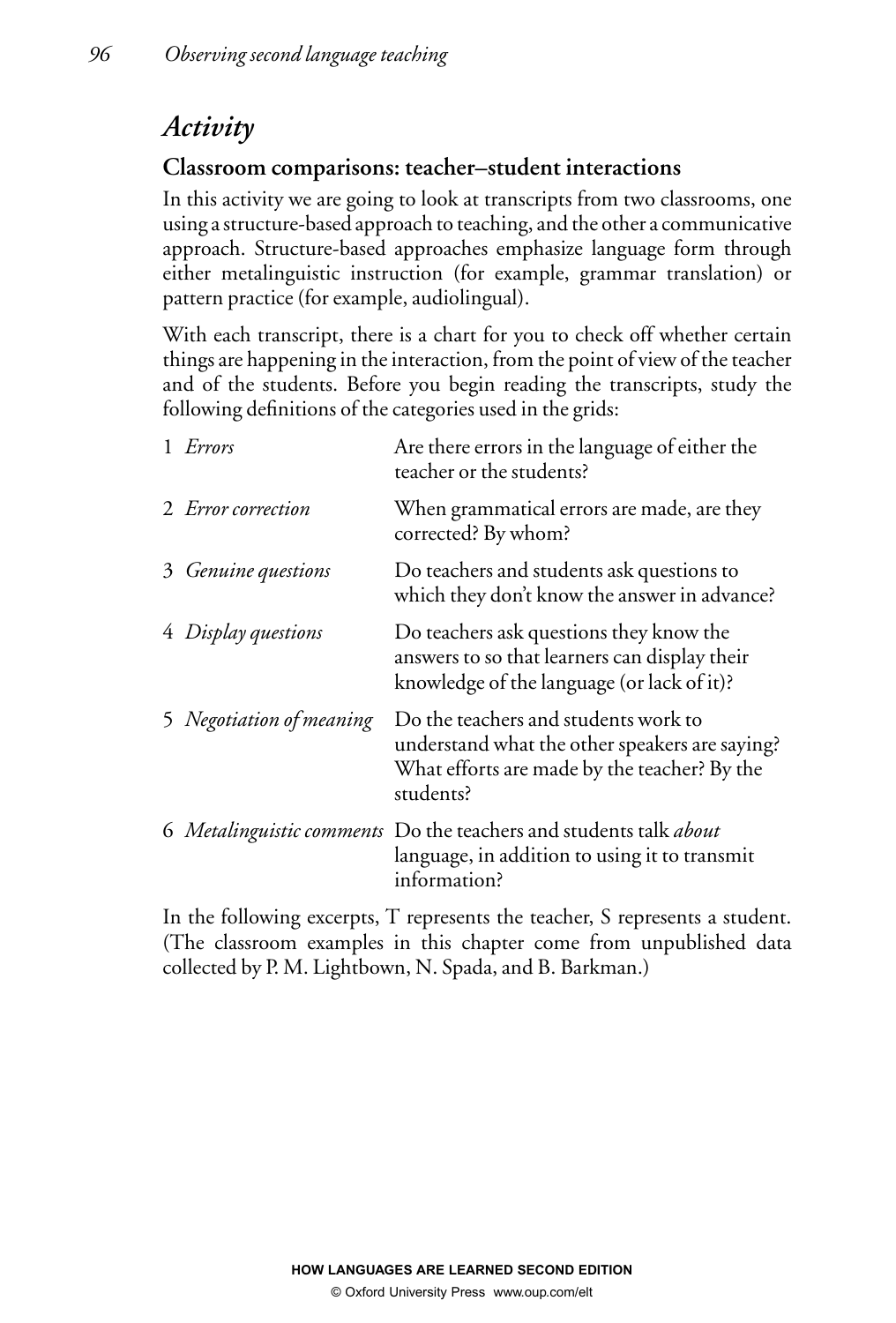# *Activity*

## **Classroom comparisons: teacher–student interactions**

In this activity we are going to look at transcripts from two classrooms, one using a structure-based approach to teaching, and the other a communicative approach. Structure-based approaches emphasize language form through either metalinguistic instruction (for example, grammar translation) or pattern practice (for example, audiolingual).

With each transcript, there is a chart for you to check off whether certain things are happening in the interaction, from the point of view of the teacher and of the students. Before you begin reading the transcripts, study the following definitions of the categories used in the grids:

| 1 Errors                 | Are there errors in the language of either the<br>teacher or the students?                                                                          |
|--------------------------|-----------------------------------------------------------------------------------------------------------------------------------------------------|
| 2 Error correction       | When grammatical errors are made, are they<br>corrected? By whom?                                                                                   |
| 3 Genuine questions      | Do teachers and students ask questions to<br>which they don't know the answer in advance?                                                           |
| 4 Display questions      | Do teachers ask questions they know the<br>answers to so that learners can display their<br>knowledge of the language (or lack of it)?              |
| 5 Negotiation of meaning | Do the teachers and students work to<br>understand what the other speakers are saying?<br>What efforts are made by the teacher? By the<br>students? |
|                          | 6 Metalinguistic comments Do the teachers and students talk about<br>language, in addition to using it to transmit<br>information?                  |

In the following excerpts, T represents the teacher, S represents a student. (The classroom examples in this chapter come from unpublished data collected by P. M. Lightbown, N. Spada, and B. Barkman.)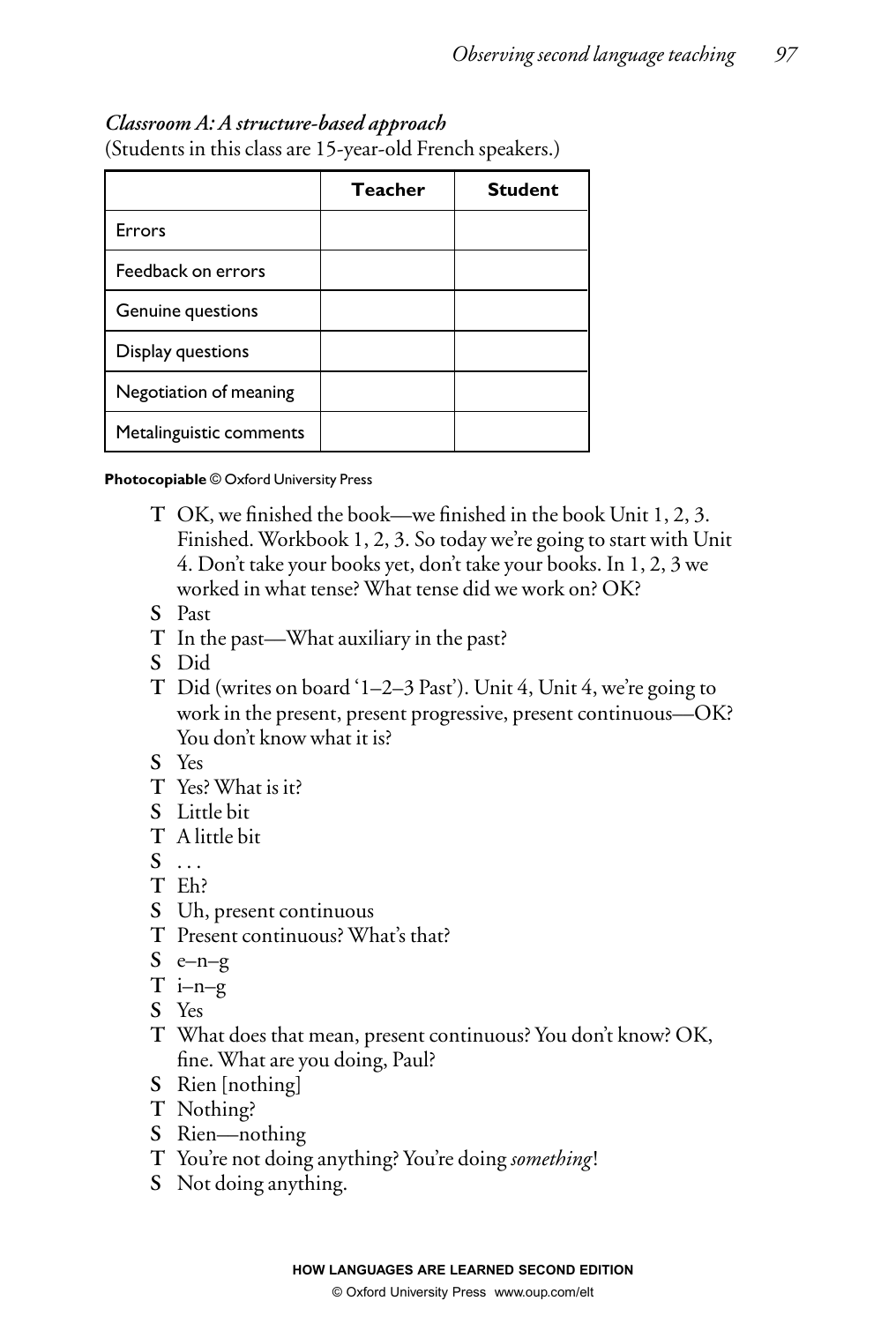|                         | <b>Teacher</b> | <b>Student</b> |
|-------------------------|----------------|----------------|
| Errors                  |                |                |
| Feedback on errors      |                |                |
| Genuine questions       |                |                |
| Display questions       |                |                |
| Negotiation of meaning  |                |                |
| Metalinguistic comments |                |                |

## *Classroom A: A structure-based approach* (Students in this class are 15-year-old French speakers.)

**Photocopiable** © Oxford University Press

- **T** OK, we finished the book––we finished in the book Unit 1, 2, 3. Finished. Workbook 1, 2, 3. So today we're going to start with Unit 4. Don't take your books yet, don't take your books. In 1, 2, 3 we worked in what tense? What tense did we work on? OK?
- **S** Past
- **T** In the past––What auxiliary in the past?
- **S** Did
- **T** Did (writes on board '1–2–3 Past'). Unit 4, Unit 4, we're going to work in the present, present progressive, present continuous––OK? You don't know what it is?
- **S** Yes
- **T** Yes? What is it?
- **S** Little bit
- **T** A little bit
- **S** . . .
- **T** Eh?
- **S** Uh, present continuous
- **T** Present continuous? What's that?
- **S** e–n–g
- **T** i–n–g
- **S** Yes
- **T** What does that mean, present continuous? You don't know? OK, fine. What are you doing, Paul?
- **S** Rien [nothing]
- **T** Nothing?
- **S** Rien––nothing
- **T** You're not doing anything? You're doing *something*!
- **S** Not doing anything.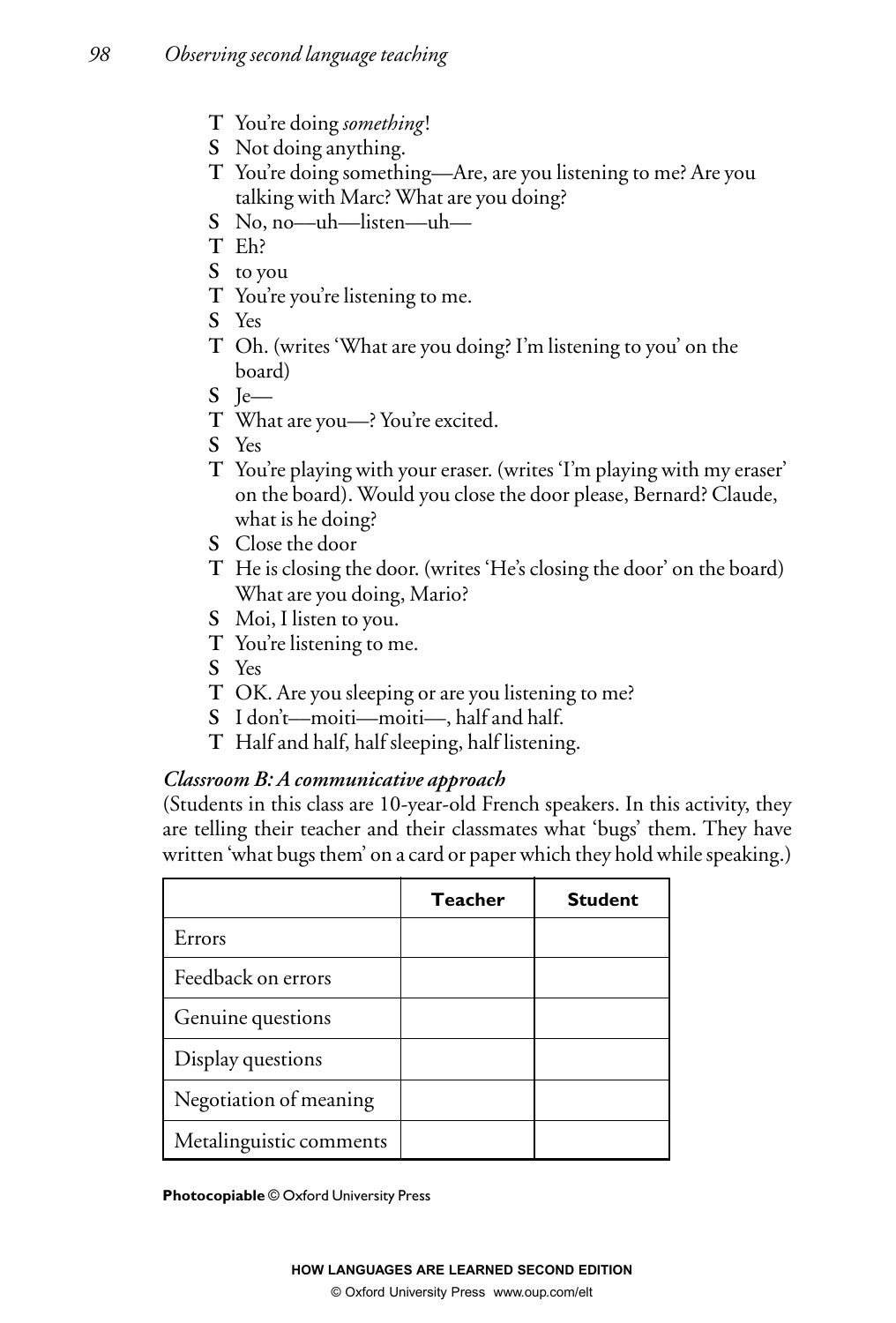- **T** You're doing *something*!
- **S** Not doing anything.
- **T** You're doing something––Are, are you listening to me? Are you talking with Marc? What are you doing?
- **S** No, no––uh––listen––uh––
- **T** Eh?
- **S** to you
- **T** You're you're listening to me.
- **S** Yes
- **T** Oh. (writes 'What are you doing? I'm listening to you' on the board)
- **S** Je––
- **T** What are you––? You're excited.
- **S** Yes
- **T** You're playing with your eraser. (writes 'I'm playing with my eraser' on the board). Would you close the door please, Bernard? Claude, what is he doing?
- **S** Close the door
- **T** He is closing the door. (writes 'He's closing the door' on the board) What are you doing, Mario?
- **S** Moi, I listen to you.
- **T** You're listening to me.
- **S** Yes
- **T** OK. Are you sleeping or are you listening to me?
- **S** I don't––moiti––moiti––, half and half.
- **T** Half and half, half sleeping, half listening.

### *Classroom B: A communicative approach*

(Students in this class are 10-year-old French speakers. In this activity, they are telling their teacher and their classmates what 'bugs' them. They have written 'what bugs them' on a card or paper which they hold while speaking.)

|                         | Teacher | <b>Student</b> |
|-------------------------|---------|----------------|
| Errors                  |         |                |
| Feedback on errors      |         |                |
| Genuine questions       |         |                |
| Display questions       |         |                |
| Negotiation of meaning  |         |                |
| Metalinguistic comments |         |                |

**Photocopiable** © Oxford University Press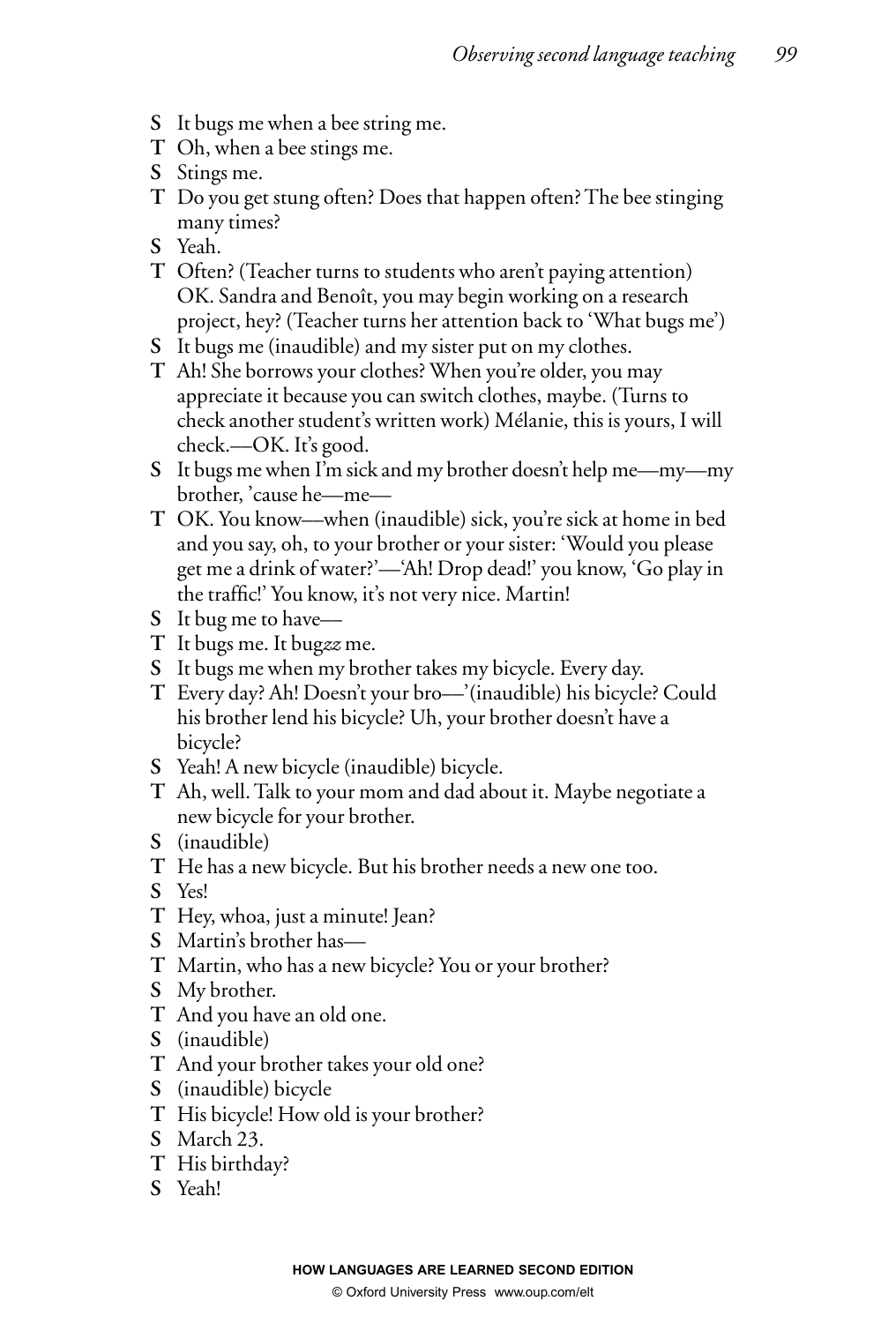- **S** It bugs me when a bee string me.
- **T** Oh, when a bee stings me.
- **S** Stings me.
- **T** Do you get stung often? Does that happen often? The bee stinging many times?
- **S** Yeah.
- **T** Often? (Teacher turns to students who aren't paying attention) OK. Sandra and Benoît, you may begin working on a research project, hey? (Teacher turns her attention back to 'What bugs me')
- **S** It bugs me (inaudible) and my sister put on my clothes.
- **T** Ah! She borrows your clothes? When you're older, you may appreciate it because you can switch clothes, maybe. (Turns to check another student's written work) Mélanie, this is yours, I will check.––OK. It's good.
- **S** It bugs me when I'm sick and my brother doesn't help me––my––my brother, 'cause he––me––
- **T** OK. You know––when (inaudible) sick, you're sick at home in bed and you say, oh, to your brother or your sister: 'Would you please get me a drink of water?'––'Ah! Drop dead!' you know, 'Go play in the traffic!' You know, it's not very nice. Martin!
- **S** It bug me to have––
- **T** It bugs me. It bug*zz* me.
- **S** It bugs me when my brother takes my bicycle. Every day.
- **T** Every day? Ah! Doesn't your bro––'(inaudible) his bicycle? Could his brother lend his bicycle? Uh, your brother doesn't have a bicycle?
- **S** Yeah! A new bicycle (inaudible) bicycle.
- **T** Ah, well. Talk to your mom and dad about it. Maybe negotiate a new bicycle for your brother.
- **S** (inaudible)
- **T** He has a new bicycle. But his brother needs a new one too.
- **S** Yes!
- **T** Hey, whoa, just a minute! Jean?
- **S** Martin's brother has––
- **T** Martin, who has a new bicycle? You or your brother?
- **S** My brother.
- **T** And you have an old one.
- **S** (inaudible)
- **T** And your brother takes your old one?
- **S** (inaudible) bicycle
- **T** His bicycle! How old is your brother?
- **S** March 23.
- **T** His birthday?
- **S** Yeah!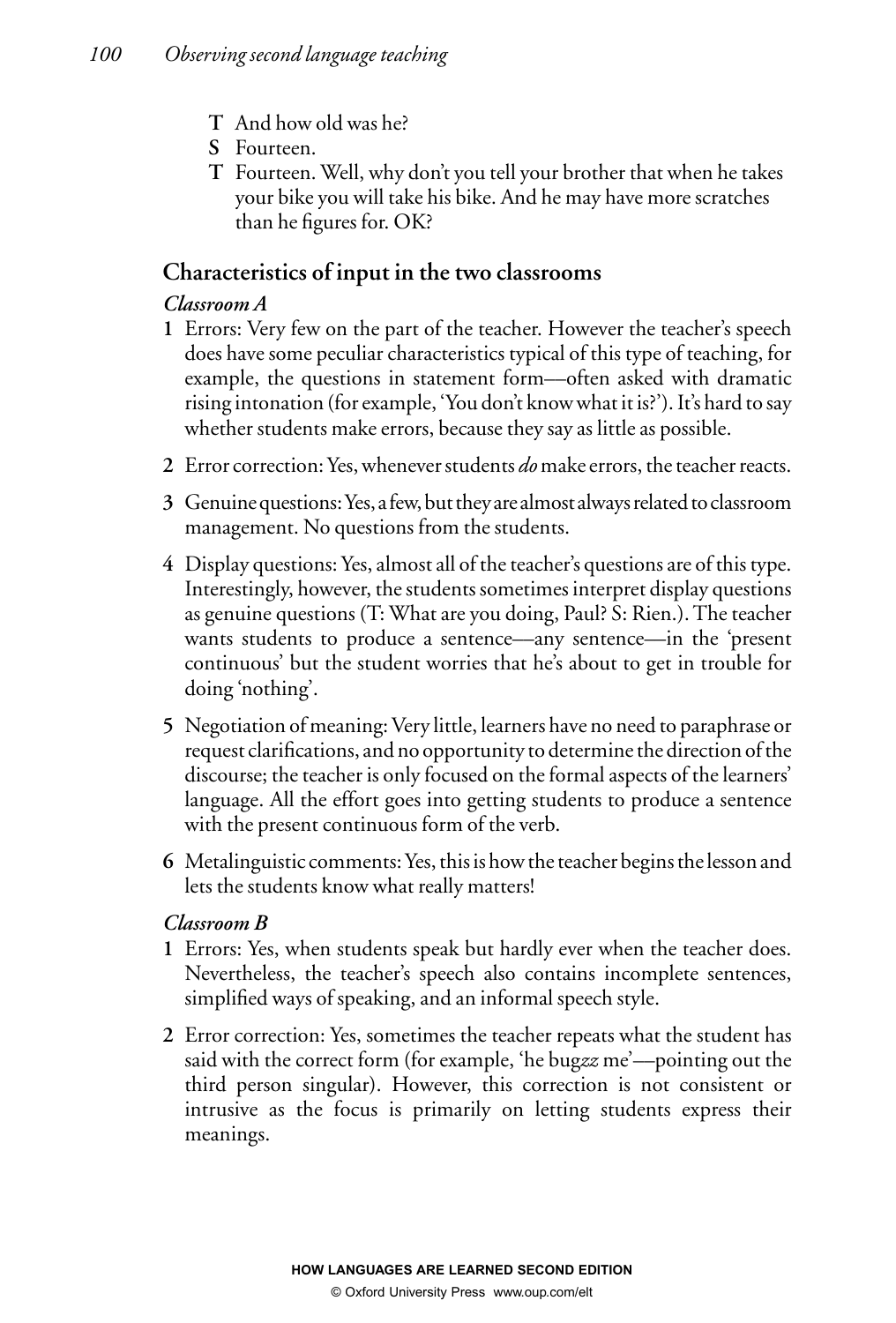- **T** And how old was he?
- **S** Fourteen.
- **T** Fourteen. Well, why don't you tell your brother that when he takes your bike you will take his bike. And he may have more scratches than he figures for. OK?

## **Characteristics of input in the two classrooms**

## *Classroom A*

- **1** Errors: Very few on the part of the teacher. However the teacher's speech does have some peculiar characteristics typical of this type of teaching, for example, the questions in statement form––often asked with dramatic rising intonation (for example, 'You don't know what it is?'). It's hard to say whether students make errors, because they say as little as possible.
- **2** Error correction: Yes, whenever students *do* make errors, the teacher reacts.
- **3** Genuine questions: Yes, a few, but they are almost always related to classroom management. No questions from the students.
- **4** Display questions: Yes, almost all of the teacher's questions are of this type. Interestingly, however, the students sometimes interpret display questions as genuine questions (T: What are you doing, Paul? S: Rien.). The teacher wants students to produce a sentence—any sentence—in the 'present continuous' but the student worries that he's about to get in trouble for doing 'nothing'.
- **5** Negotiation of meaning: Very little, learners have no need to paraphrase or request clarifications, and no opportunity to determine the direction of the discourse; the teacher is only focused on the formal aspects of the learners' language. All the effort goes into getting students to produce a sentence with the present continuous form of the verb.
- **6** Metalinguistic comments: Yes, this is how the teacher begins the lesson and lets the students know what really matters!

### *Classroom B*

- **1** Errors: Yes, when students speak but hardly ever when the teacher does. Nevertheless, the teacher's speech also contains incomplete sentences, simplified ways of speaking, and an informal speech style.
- **2** Error correction: Yes, sometimes the teacher repeats what the student has said with the correct form (for example, 'he bug*zz* me'––pointing out the third person singular). However, this correction is not consistent or intrusive as the focus is primarily on letting students express their meanings.